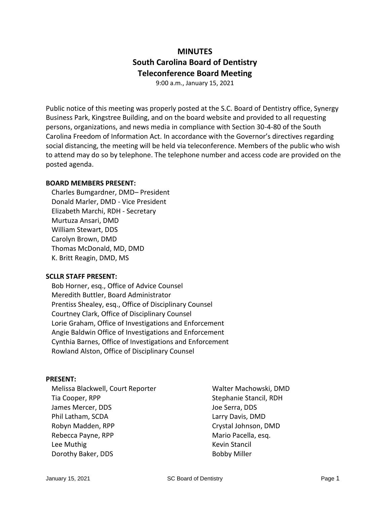# **MINUTES South Carolina Board of Dentistry Teleconference Board Meeting**

9:00 a.m., January 15, 2021

Public notice of this meeting was properly posted at the S.C. Board of Dentistry office, Synergy Business Park, Kingstree Building, and on the board website and provided to all requesting persons, organizations, and news media in compliance with Section 30-4-80 of the South Carolina Freedom of Information Act. In accordance with the Governor's directives regarding social distancing, the meeting will be held via teleconference. Members of the public who wish to attend may do so by telephone. The telephone number and access code are provided on the posted agenda.

#### **BOARD MEMBERS PRESENT:**

Charles Bumgardner, DMD– President Donald Marler, DMD - Vice President Elizabeth Marchi, RDH - Secretary Murtuza Ansari, DMD William Stewart, DDS Carolyn Brown, DMD Thomas McDonald, MD, DMD K. Britt Reagin, DMD, MS

#### **SCLLR STAFF PRESENT:**

Bob Horner, esq., Office of Advice Counsel Meredith Buttler, Board Administrator Prentiss Shealey, esq., Office of Disciplinary Counsel Courtney Clark, Office of Disciplinary Counsel Lorie Graham, Office of Investigations and Enforcement Angie Baldwin Office of Investigations and Enforcement Cynthia Barnes, Office of Investigations and Enforcement Rowland Alston, Office of Disciplinary Counsel

#### **PRESENT:**

Melissa Blackwell, Court Reporter Tia Cooper, RPP James Mercer, DDS Phil Latham, SCDA Robyn Madden, RPP Rebecca Payne, RPP Lee Muthig Dorothy Baker, DDS

Walter Machowski, DMD Stephanie Stancil, RDH Joe Serra, DDS Larry Davis, DMD Crystal Johnson, DMD Mario Pacella, esq. Kevin Stancil Bobby Miller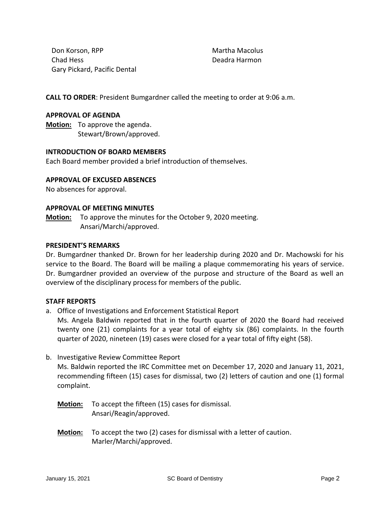Don Korson, RPP Chad Hess Gary Pickard, Pacific Dental Martha Macolus Deadra Harmon

**CALL TO ORDER**: President Bumgardner called the meeting to order at 9:06 a.m.

#### **APPROVAL OF AGENDA**

**Motion:** To approve the agenda. Stewart/Brown/approved.

### **INTRODUCTION OF BOARD MEMBERS**

Each Board member provided a brief introduction of themselves.

### **APPROVAL OF EXCUSED ABSENCES**

No absences for approval.

### **APPROVAL OF MEETING MINUTES**

**Motion:** To approve the minutes for the October 9, 2020 meeting. Ansari/Marchi/approved.

#### **PRESIDENT'S REMARKS**

Dr. Bumgardner thanked Dr. Brown for her leadership during 2020 and Dr. Machowski for his service to the Board. The Board will be mailing a plaque commemorating his years of service. Dr. Bumgardner provided an overview of the purpose and structure of the Board as well an overview of the disciplinary process for members of the public.

#### **STAFF REPORTS**

- a. Office of Investigations and Enforcement Statistical Report Ms. Angela Baldwin reported that in the fourth quarter of 2020 the Board had received twenty one (21) complaints for a year total of eighty six (86) complaints. In the fourth quarter of 2020, nineteen (19) cases were closed for a year total of fifty eight (58).
- b. Investigative Review Committee Report

Ms. Baldwin reported the IRC Committee met on December 17, 2020 and January 11, 2021, recommending fifteen (15) cases for dismissal, two (2) letters of caution and one (1) formal complaint.

**Motion:** To accept the fifteen (15) cases for dismissal. Ansari/Reagin/approved.

**Motion:** To accept the two (2) cases for dismissal with a letter of caution. Marler/Marchi/approved.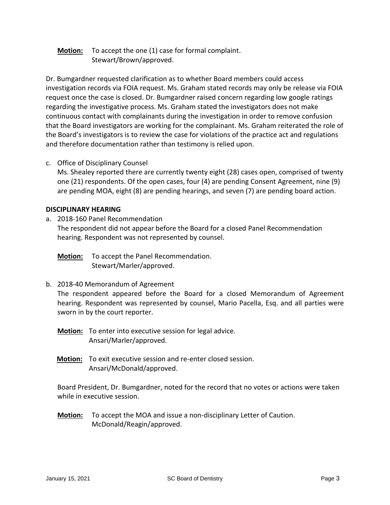# **Motion:** To accept the one (1) case for formal complaint. Stewart/Brown/approved.

Dr. Bumgardner requested clarification as to whether Board members could access investigation records via FOIA request. Ms. Graham stated records may only be release via FOIA request once the case is closed. Dr. Bumgardner raised concern regarding low google ratings regarding the investigative process. Ms. Graham stated the investigators does not make continuous contact with complainants during the investigation in order to remove confusion that the Board investigators are working for the complainant. Ms. Graham reiterated the role of the Board's investigators is to review the case for violations of the practice act and regulations and therefore documentation rather than testimony is relied upon.

c. Office of Disciplinary Counsel

Ms. Shealey reported there are currently twenty eight (28) cases open, comprised of twenty one (21) respondents. Of the open cases, four (4) are pending Consent Agreement, nine (9) are pending MOA, eight (8) are pending hearings, and seven (7) are pending board action.

### **DISCIPLINARY HEARING**

a. 2018-160 Panel Recommendation The respondent did not appear before the Board for a closed Panel Recommendation hearing. Respondent was not represented by counsel.

**Motion:** To accept the Panel Recommendation. Stewart/Marler/approved.

b. 2018-40 Memorandum of Agreement

The respondent appeared before the Board for a closed Memorandum of Agreement hearing. Respondent was represented by counsel, Mario Pacella, Esq. and all parties were sworn in by the court reporter.

- **Motion:** To enter into executive session for legal advice. Ansari/Marler/approved.
- **Motion:** To exit executive session and re-enter closed session. Ansari/McDonald/approved.

Board President, Dr. Bumgardner, noted for the record that no votes or actions were taken while in executive session.

**Motion:** To accept the MOA and issue a non-disciplinary Letter of Caution. McDonald/Reagin/approved.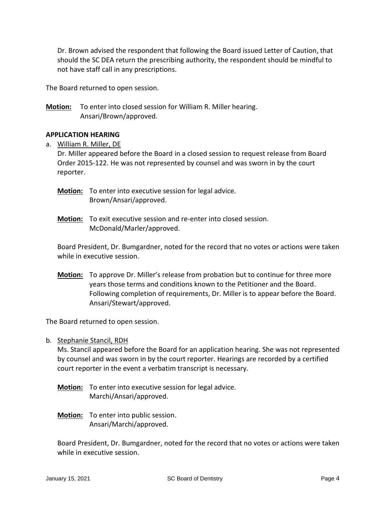Dr. Brown advised the respondent that following the Board issued Letter of Caution, that should the SC DEA return the prescribing authority, the respondent should be mindful to not have staff call in any prescriptions.

The Board returned to open session.

**Motion:** To enter into closed session for William R. Miller hearing. Ansari/Brown/approved.

### **APPLICATION HEARING**

a. William R. Miller, DE

Dr. Miller appeared before the Board in a closed session to request release from Board Order 2015-122. He was not represented by counsel and was sworn in by the court reporter.

**Motion:** To enter into executive session for legal advice. Brown/Ansari/approved.

**Motion:** To exit executive session and re-enter into closed session. McDonald/Marler/approved.

Board President, Dr. Bumgardner, noted for the record that no votes or actions were taken while in executive session.

**Motion:** To approve Dr. Miller's release from probation but to continue for three more years those terms and conditions known to the Petitioner and the Board. Following completion of requirements, Dr. Miller is to appear before the Board. Ansari/Stewart/approved.

The Board returned to open session.

b. Stephanie Stancil, RDH

Ms. Stancil appeared before the Board for an application hearing. She was not represented by counsel and was sworn in by the court reporter. Hearings are recorded by a certified court reporter in the event a verbatim transcript is necessary.

- **Motion:** To enter into executive session for legal advice. Marchi/Ansari/approved.
- **Motion:** To enter into public session. Ansari/Marchi/approved.

Board President, Dr. Bumgardner, noted for the record that no votes or actions were taken while in executive session.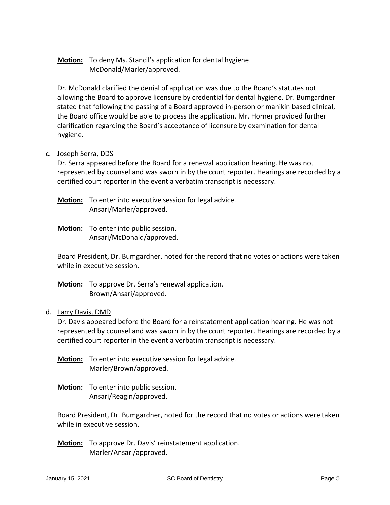# **Motion:** To deny Ms. Stancil's application for dental hygiene. McDonald/Marler/approved.

Dr. McDonald clarified the denial of application was due to the Board's statutes not allowing the Board to approve licensure by credential for dental hygiene. Dr. Bumgardner stated that following the passing of a Board approved in-person or manikin based clinical, the Board office would be able to process the application. Mr. Horner provided further clarification regarding the Board's acceptance of licensure by examination for dental hygiene.

### c. Joseph Serra, DDS

Dr. Serra appeared before the Board for a renewal application hearing. He was not represented by counsel and was sworn in by the court reporter. Hearings are recorded by a certified court reporter in the event a verbatim transcript is necessary.

**Motion:** To enter into executive session for legal advice. Ansari/Marler/approved.

**Motion:** To enter into public session. Ansari/McDonald/approved.

Board President, Dr. Bumgardner, noted for the record that no votes or actions were taken while in executive session.

**Motion:** To approve Dr. Serra's renewal application. Brown/Ansari/approved.

### d. Larry Davis, DMD

Dr. Davis appeared before the Board for a reinstatement application hearing. He was not represented by counsel and was sworn in by the court reporter. Hearings are recorded by a certified court reporter in the event a verbatim transcript is necessary.

**Motion:** To enter into executive session for legal advice. Marler/Brown/approved.

**Motion:** To enter into public session. Ansari/Reagin/approved.

Board President, Dr. Bumgardner, noted for the record that no votes or actions were taken while in executive session.

**Motion:** To approve Dr. Davis' reinstatement application. Marler/Ansari/approved.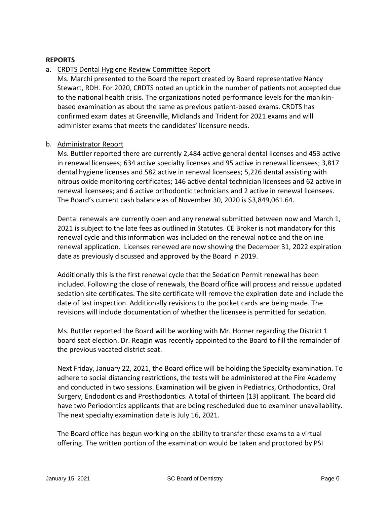### **REPORTS**

### a. CRDTS Dental Hygiene Review Committee Report

Ms. Marchi presented to the Board the report created by Board representative Nancy Stewart, RDH. For 2020, CRDTS noted an uptick in the number of patients not accepted due to the national health crisis. The organizations noted performance levels for the manikinbased examination as about the same as previous patient-based exams. CRDTS has confirmed exam dates at Greenville, Midlands and Trident for 2021 exams and will administer exams that meets the candidates' licensure needs.

### b. Administrator Report

Ms. Buttler reported there are currently 2,484 active general dental licenses and 453 active in renewal licensees; 634 active specialty licenses and 95 active in renewal licensees; 3,817 dental hygiene licenses and 582 active in renewal licensees; 5,226 dental assisting with nitrous oxide monitoring certificates; 146 active dental technician licensees and 62 active in renewal licensees; and 6 active orthodontic technicians and 2 active in renewal licensees. The Board's current cash balance as of November 30, 2020 is \$3,849,061.64.

Dental renewals are currently open and any renewal submitted between now and March 1, 2021 is subject to the late fees as outlined in Statutes. CE Broker is not mandatory for this renewal cycle and this information was included on the renewal notice and the online renewal application. Licenses renewed are now showing the December 31, 2022 expiration date as previously discussed and approved by the Board in 2019.

Additionally this is the first renewal cycle that the Sedation Permit renewal has been included. Following the close of renewals, the Board office will process and reissue updated sedation site certificates. The site certificate will remove the expiration date and include the date of last inspection. Additionally revisions to the pocket cards are being made. The revisions will include documentation of whether the licensee is permitted for sedation.

Ms. Buttler reported the Board will be working with Mr. Horner regarding the District 1 board seat election. Dr. Reagin was recently appointed to the Board to fill the remainder of the previous vacated district seat.

Next Friday, January 22, 2021, the Board office will be holding the Specialty examination. To adhere to social distancing restrictions, the tests will be administered at the Fire Academy and conducted in two sessions. Examination will be given in Pediatrics, Orthodontics, Oral Surgery, Endodontics and Prosthodontics. A total of thirteen (13) applicant. The board did have two Periodontics applicants that are being rescheduled due to examiner unavailability. The next specialty examination date is July 16, 2021.

The Board office has begun working on the ability to transfer these exams to a virtual offering. The written portion of the examination would be taken and proctored by PSI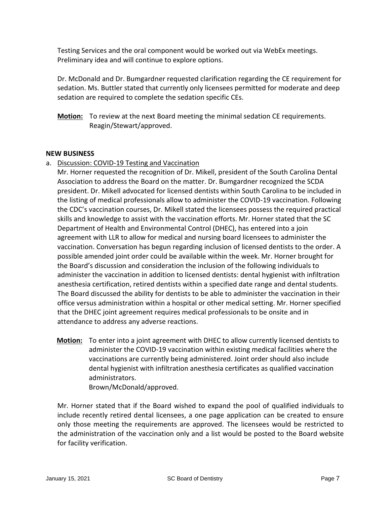Testing Services and the oral component would be worked out via WebEx meetings. Preliminary idea and will continue to explore options.

Dr. McDonald and Dr. Bumgardner requested clarification regarding the CE requirement for sedation. Ms. Buttler stated that currently only licensees permitted for moderate and deep sedation are required to complete the sedation specific CEs.

**Motion:** To review at the next Board meeting the minimal sedation CE requirements. Reagin/Stewart/approved.

### **NEW BUSINESS**

a. Discussion: COVID-19 Testing and Vaccination

Mr. Horner requested the recognition of Dr. Mikell, president of the South Carolina Dental Association to address the Board on the matter. Dr. Bumgardner recognized the SCDA president. Dr. Mikell advocated for licensed dentists within South Carolina to be included in the listing of medical professionals allow to administer the COVID-19 vaccination. Following the CDC's vaccination courses, Dr. Mikell stated the licensees possess the required practical skills and knowledge to assist with the vaccination efforts. Mr. Horner stated that the SC Department of Health and Environmental Control (DHEC), has entered into a join agreement with LLR to allow for medical and nursing board licensees to administer the vaccination. Conversation has begun regarding inclusion of licensed dentists to the order. A possible amended joint order could be available within the week. Mr. Horner brought for the Board's discussion and consideration the inclusion of the following individuals to administer the vaccination in addition to licensed dentists: dental hygienist with infiltration anesthesia certification, retired dentists within a specified date range and dental students. The Board discussed the ability for dentists to be able to administer the vaccination in their office versus administration within a hospital or other medical setting. Mr. Horner specified that the DHEC joint agreement requires medical professionals to be onsite and in attendance to address any adverse reactions.

**Motion:** To enter into a joint agreement with DHEC to allow currently licensed dentists to administer the COVID-19 vaccination within existing medical facilities where the vaccinations are currently being administered. Joint order should also include dental hygienist with infiltration anesthesia certificates as qualified vaccination administrators. Brown/McDonald/approved.

Mr. Horner stated that if the Board wished to expand the pool of qualified individuals to include recently retired dental licensees, a one page application can be created to ensure only those meeting the requirements are approved. The licensees would be restricted to the administration of the vaccination only and a list would be posted to the Board website for facility verification.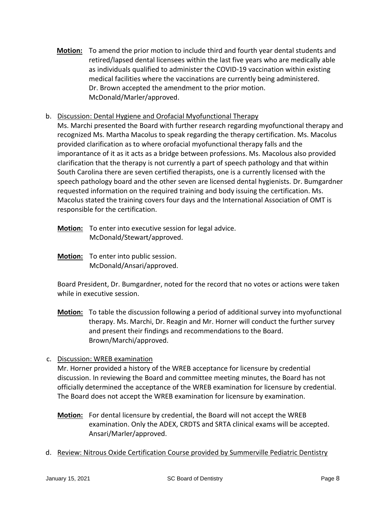**Motion:** To amend the prior motion to include third and fourth year dental students and retired/lapsed dental licensees within the last five years who are medically able as individuals qualified to administer the COVID-19 vaccination within existing medical facilities where the vaccinations are currently being administered. Dr. Brown accepted the amendment to the prior motion. McDonald/Marler/approved.

# b. Discussion: Dental Hygiene and Orofacial Myofunctional Therapy

Ms. Marchi presented the Board with further research regarding myofunctional therapy and recognized Ms. Martha Macolus to speak regarding the therapy certification. Ms. Macolus provided clarification as to where orofacial myofunctional therapy falls and the imporantance of it as it acts as a bridge between professions. Ms. Macolous also provided clarification that the therapy is not currently a part of speech pathology and that within South Carolina there are seven certified therapists, one is a currently licensed with the speech pathology board and the other seven are licensed dental hygienists. Dr. Bumgardner requested information on the required training and body issuing the certification. Ms. Macolus stated the training covers four days and the International Association of OMT is responsible for the certification.

- **Motion:** To enter into executive session for legal advice. McDonald/Stewart/approved.
- **Motion:** To enter into public session. McDonald/Ansari/approved.

Board President, Dr. Bumgardner, noted for the record that no votes or actions were taken while in executive session.

- **Motion:** To table the discussion following a period of additional survey into myofunctional therapy. Ms. Marchi, Dr. Reagin and Mr. Horner will conduct the further survey and present their findings and recommendations to the Board. Brown/Marchi/approved.
- c. Discussion: WREB examination

Mr. Horner provided a history of the WREB acceptance for licensure by credential discussion. In reviewing the Board and committee meeting minutes, the Board has not officially determined the acceptance of the WREB examination for licensure by credential. The Board does not accept the WREB examination for licensure by examination.

- **Motion:** For dental licensure by credential, the Board will not accept the WREB examination. Only the ADEX, CRDTS and SRTA clinical exams will be accepted. Ansari/Marler/approved.
- d. Review: Nitrous Oxide Certification Course provided by Summerville Pediatric Dentistry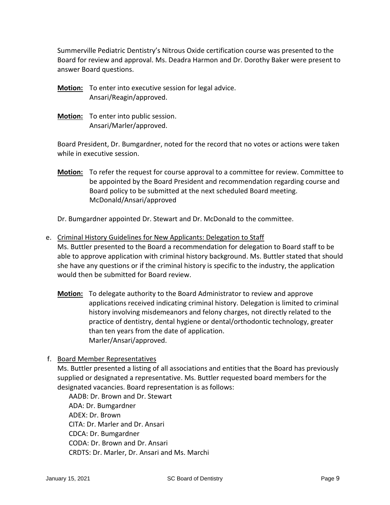Summerville Pediatric Dentistry's Nitrous Oxide certification course was presented to the Board for review and approval. Ms. Deadra Harmon and Dr. Dorothy Baker were present to answer Board questions.

- **Motion:** To enter into executive session for legal advice. Ansari/Reagin/approved.
- **Motion:** To enter into public session. Ansari/Marler/approved.

Board President, Dr. Bumgardner, noted for the record that no votes or actions were taken while in executive session.

**Motion:** To refer the request for course approval to a committee for review. Committee to be appointed by the Board President and recommendation regarding course and Board policy to be submitted at the next scheduled Board meeting. McDonald/Ansari/approved

Dr. Bumgardner appointed Dr. Stewart and Dr. McDonald to the committee.

- e. Criminal History Guidelines for New Applicants: Delegation to Staff Ms. Buttler presented to the Board a recommendation for delegation to Board staff to be able to approve application with criminal history background. Ms. Buttler stated that should she have any questions or if the criminal history is specific to the industry, the application would then be submitted for Board review.
	- **Motion:** To delegate authority to the Board Administrator to review and approve applications received indicating criminal history. Delegation is limited to criminal history involving misdemeanors and felony charges, not directly related to the practice of dentistry, dental hygiene or dental/orthodontic technology, greater than ten years from the date of application. Marler/Ansari/approved.
- f. Board Member Representatives

Ms. Buttler presented a listing of all associations and entities that the Board has previously supplied or designated a representative. Ms. Buttler requested board members for the designated vacancies. Board representation is as follows:

AADB: Dr. Brown and Dr. Stewart ADA: Dr. Bumgardner ADEX: Dr. Brown CITA: Dr. Marler and Dr. Ansari CDCA: Dr. Bumgardner CODA: Dr. Brown and Dr. Ansari CRDTS: Dr. Marler, Dr. Ansari and Ms. Marchi